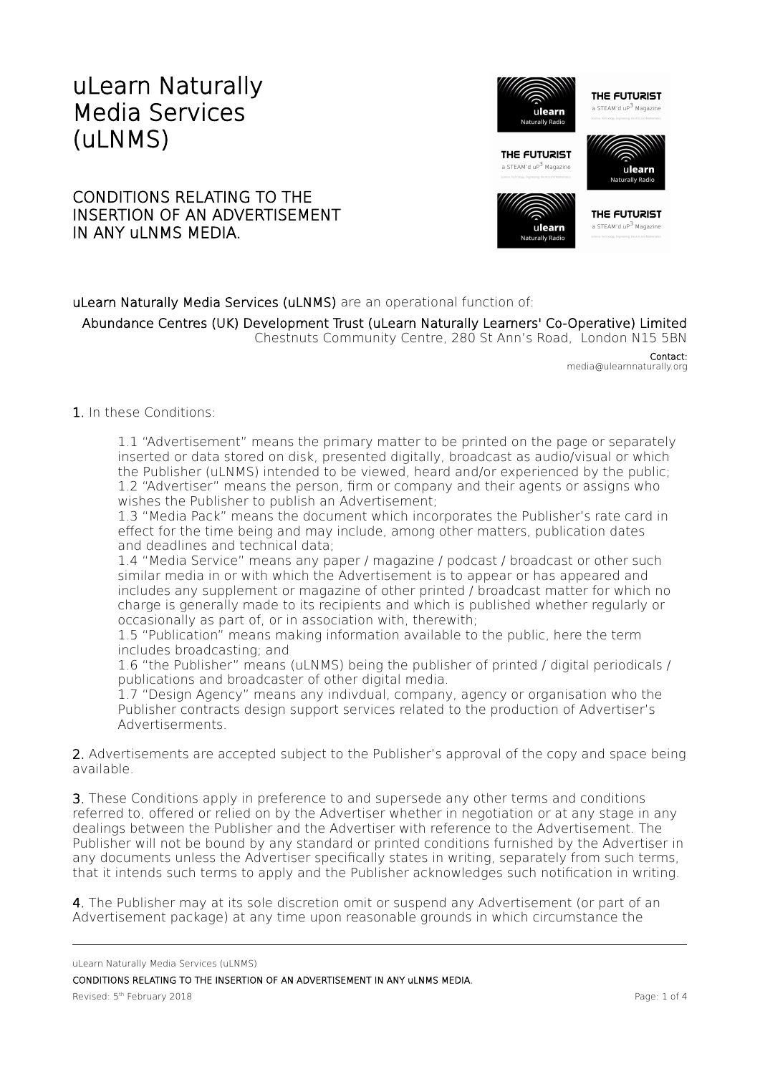## uLearn Naturally Media Services (uLNMS)

## CONDITIONS RELATING TO THE INSERTION OF AN ADVERTISEMENT IN ANY ULNMS MEDIA.





THE FUTURIST a STEAM'd uP<sup>3</sup> Magazine

## uLearn Naturally Media Services (uLNMS) are an operational function of: Abundance Centres (UK) Development Trust (uLearn Naturally Learners' Co-Operative) Limited Chestnuts Community Centre, 280 St Ann's Road, London N15 5BN

Contact: media@ulearnnaturally.org

## 1. In these Conditions:

1.1 "Advertisement" means the primary matter to be printed on the page or separately inserted or data stored on disk, presented digitally, broadcast as audio/visual or which the Publisher (uLNMS) intended to be viewed, heard and/or experienced by the public; 1.2 "Advertiser" means the person, frm or company and their agents or assigns who wishes the Publisher to publish an Advertisement;

1.3 "Media Pack" means the document which incorporates the Publisher's rate card in efect for the time being and may include, among other matters, publication dates and deadlines and technical data;

1.4 "Media Service" means any paper / magazine / podcast / broadcast or other such similar media in or with which the Advertisement is to appear or has appeared and includes any supplement or magazine of other printed / broadcast matter for which no charge is generally made to its recipients and which is published whether regularly or occasionally as part of, or in association with, therewith;

1.5 "Publication" means making information available to the public, here the term includes broadcasting; and

1.6 "the Publisher" means (uLNMS) being the publisher of printed / digital periodicals / publications and broadcaster of other digital media.

1.7 "Design Agency" means any indivdual, company, agency or organisation who the Publisher contracts design support services related to the production of Advertiser's Advertiserments.

2. Advertisements are accepted subject to the Publisher's approval of the copy and space being available.

3. These Conditions apply in preference to and supersede any other terms and conditions referred to, ofered or relied on by the Advertiser whether in negotiation or at any stage in any dealings between the Publisher and the Advertiser with reference to the Advertisement. The Publisher will not be bound by any standard or printed conditions furnished by the Advertiser in any documents unless the Advertiser specifically states in writing, separately from such terms, that it intends such terms to apply and the Publisher acknowledges such notifcation in writing.

4. The Publisher may at its sole discretion omit or suspend any Advertisement (or part of an Advertisement package) at any time upon reasonable grounds in which circumstance the

uLearn Naturally Media Services (uLNMS)

CONDITIONS RELATING TO THE INSERTION OF AN ADVERTISEMENT IN ANY uLNMS MEDIA.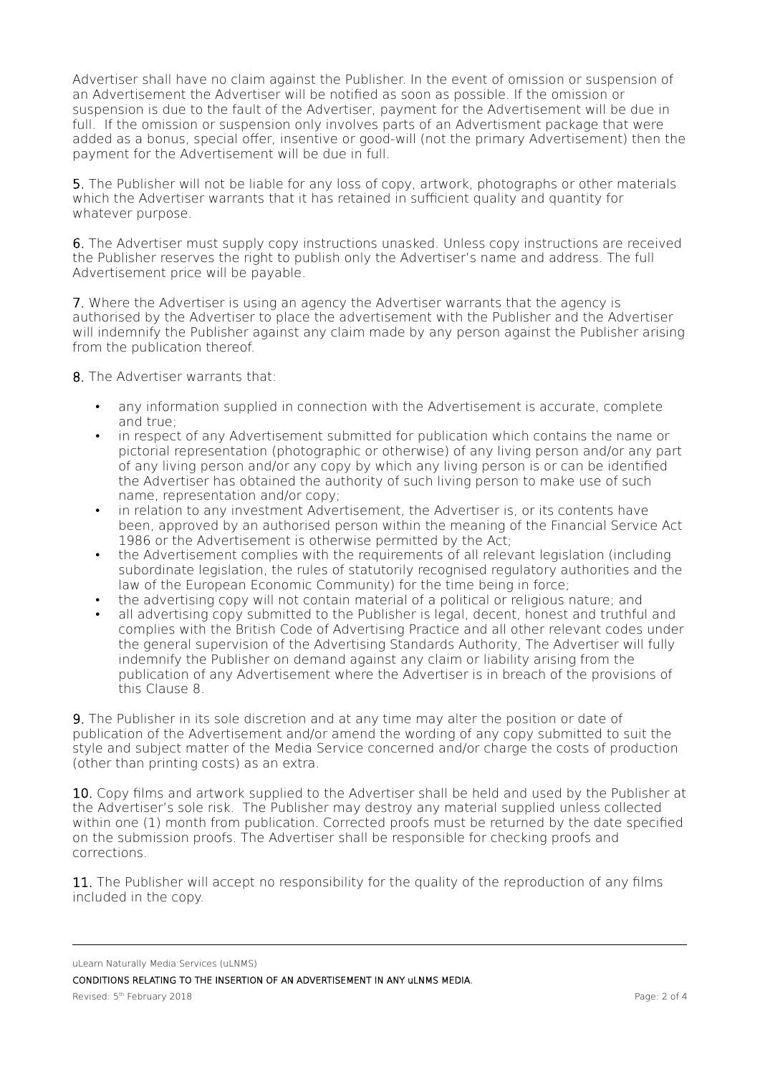Advertiser shall have no claim against the Publisher. In the event of omission or suspension of an Advertisement the Advertiser will be notifed as soon as possible. If the omission or suspension is due to the fault of the Advertiser, payment for the Advertisement will be due in full. If the omission or suspension only involves parts of an Advertisment package that were added as a bonus, special offer, insentive or good-will (not the primary Advertisement) then the payment for the Advertisement will be due in full.

5. The Publisher will not be liable for any loss of copy, artwork, photographs or other materials which the Advertiser warrants that it has retained in sufficient quality and quantity for whatever purpose.

6. The Advertiser must supply copy instructions unasked. Unless copy instructions are received the Publisher reserves the right to publish only the Advertiser's name and address. The full Advertisement price will be payable.

7. Where the Advertiser is using an agency the Advertiser warrants that the agency is authorised by the Advertiser to place the advertisement with the Publisher and the Advertiser will indemnify the Publisher against any claim made by any person against the Publisher arising from the publication thereof.

8. The Advertiser warrants that:

- any information supplied in connection with the Advertisement is accurate, complete and true;
- in respect of any Advertisement submitted for publication which contains the name or pictorial representation (photographic or otherwise) of any living person and/or any part of any living person and/or any copy by which any living person is or can be identifed the Advertiser has obtained the authority of such living person to make use of such name, representation and/or copy;
- in relation to any investment Advertisement, the Advertiser is, or its contents have been, approved by an authorised person within the meaning of the Financial Service Act 1986 or the Advertisement is otherwise permitted by the Act;
- the Advertisement complies with the requirements of all relevant legislation (including subordinate legislation, the rules of statutorily recognised regulatory authorities and the law of the European Economic Community) for the time being in force;
- the advertising copy will not contain material of a political or religious nature; and
- all advertising copy submitted to the Publisher is legal, decent, honest and truthful and complies with the British Code of Advertising Practice and all other relevant codes under the general supervision of the Advertising Standards Authority, The Advertiser will fully indemnify the Publisher on demand against any claim or liability arising from the publication of any Advertisement where the Advertiser is in breach of the provisions of this Clause 8.

9. The Publisher in its sole discretion and at any time may alter the position or date of publication of the Advertisement and/or amend the wording of any copy submitted to suit the style and subject matter of the Media Service concerned and/or charge the costs of production (other than printing costs) as an extra.

10. Copy films and artwork supplied to the Advertiser shall be held and used by the Publisher at the Advertiser's sole risk. The Publisher may destroy any material supplied unless collected within one (1) month from publication. Corrected proofs must be returned by the date specifed on the submission proofs. The Advertiser shall be responsible for checking proofs and corrections.

11. The Publisher will accept no responsibility for the quality of the reproduction of any films included in the copy.

CONDITIONS RELATING TO THE INSERTION OF AN ADVERTISEMENT IN ANY uLNMS MEDIA.

uLearn Naturally Media Services (uLNMS)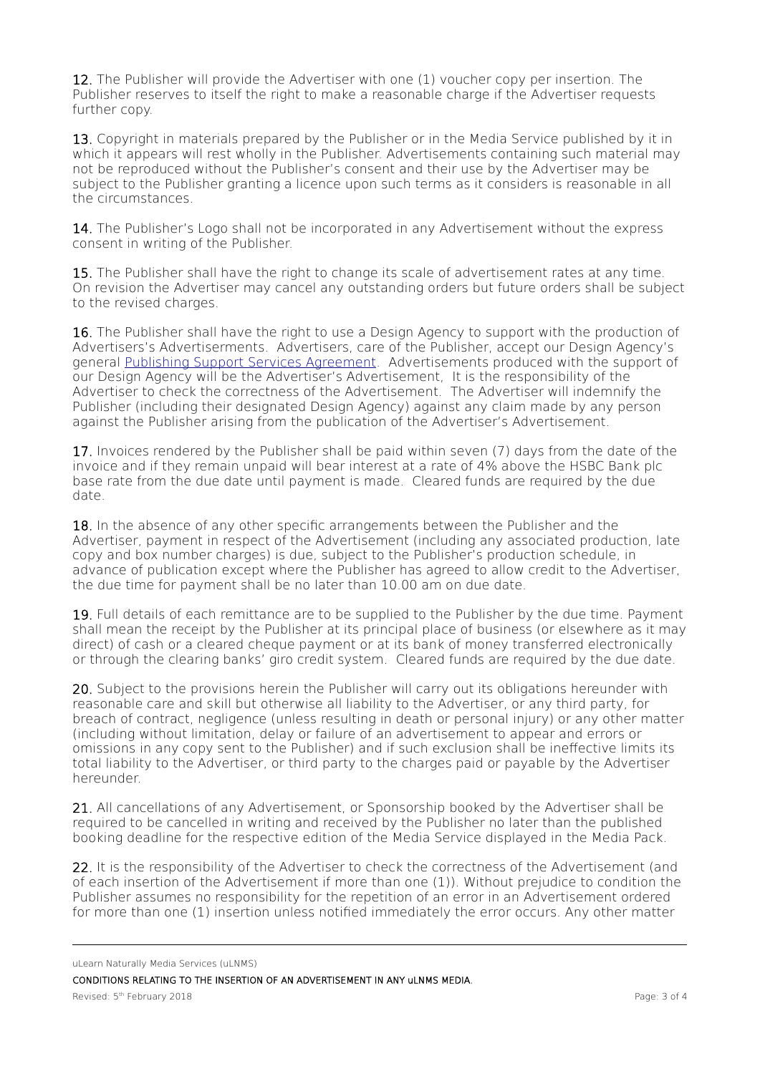12. The Publisher will provide the Advertiser with one (1) voucher copy per insertion. The Publisher reserves to itself the right to make a reasonable charge if the Advertiser requests further copy.

13. Copyright in materials prepared by the Publisher or in the Media Service published by it in which it appears will rest wholly in the Publisher. Advertisements containing such material may not be reproduced without the Publisher's consent and their use by the Advertiser may be subject to the Publisher granting a licence upon such terms as it considers is reasonable in all the circumstances.

14. The Publisher's Logo shall not be incorporated in any Advertisement without the express consent in writing of the Publisher.

15. The Publisher shall have the right to change its scale of advertisement rates at any time. On revision the Advertiser may cancel any outstanding orders but future orders shall be subject to the revised charges.

16. The Publisher shall have the right to use a Design Agency to support with the production of Advertisers's Advertiserments. Advertisers, care of the Publisher, accept our Design Agency's general [Publishing Support Services Agreement.](http://archive.peoplescience.org.uk/info-for-corporates/Peoplescience%20(PIU)%20-%20Publishing%20Support%20Services%20Agreement.pdf) Advertisements produced with the support of our Design Agency will be the Advertiser's Advertisement, It is the responsibility of the Advertiser to check the correctness of the Advertisement. The Advertiser will indemnify the Publisher (including their designated Design Agency) against any claim made by any person against the Publisher arising from the publication of the Advertiser's Advertisement.

17. Invoices rendered by the Publisher shall be paid within seven (7) days from the date of the invoice and if they remain unpaid will bear interest at a rate of 4% above the HSBC Bank plc base rate from the due date until payment is made. Cleared funds are required by the due date.

18. In the absence of any other specific arrangements between the Publisher and the Advertiser, payment in respect of the Advertisement (including any associated production, late copy and box number charges) is due, subject to the Publisher's production schedule, in advance of publication except where the Publisher has agreed to allow credit to the Advertiser, the due time for payment shall be no later than 10.00 am on due date.

19. Full details of each remittance are to be supplied to the Publisher by the due time. Payment shall mean the receipt by the Publisher at its principal place of business (or elsewhere as it may direct) of cash or a cleared cheque payment or at its bank of money transferred electronically or through the clearing banks' giro credit system. Cleared funds are required by the due date.

20. Subject to the provisions herein the Publisher will carry out its obligations hereunder with reasonable care and skill but otherwise all liability to the Advertiser, or any third party, for breach of contract, negligence (unless resulting in death or personal injury) or any other matter (including without limitation, delay or failure of an advertisement to appear and errors or omissions in any copy sent to the Publisher) and if such exclusion shall be inefective limits its total liability to the Advertiser, or third party to the charges paid or payable by the Advertiser hereunder.

21. All cancellations of any Advertisement, or Sponsorship booked by the Advertiser shall be required to be cancelled in writing and received by the Publisher no later than the published booking deadline for the respective edition of the Media Service displayed in the Media Pack.

22. It is the responsibility of the Advertiser to check the correctness of the Advertisement (and of each insertion of the Advertisement if more than one (1)). Without prejudice to condition the Publisher assumes no responsibility for the repetition of an error in an Advertisement ordered for more than one (1) insertion unless notifed immediately the error occurs. Any other matter

uLearn Naturally Media Services (uLNMS)

CONDITIONS RELATING TO THE INSERTION OF AN ADVERTISEMENT IN ANY uLNMS MEDIA.